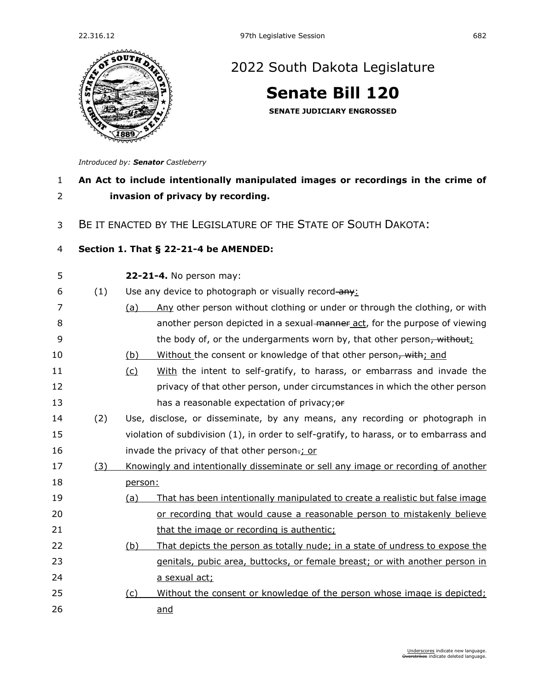

## [2022 South Dakota Legislature](https://sdlegislature.gov/Session/Bills/64)

**[Senate Bill 120](https://sdlegislature.gov/Session/Bill/22887)**

**SENATE JUDICIARY ENGROSSED**

*Introduced by: Senator [Castleberry](https://sdlegislature.gov/Legislators/Profile/3922/Detail)*

## **An Act to include intentionally manipulated images or recordings in the crime of invasion of privacy by recording.**

BE IT ENACTED BY THE LEGISLATURE OF THE STATE OF SOUTH DAKOTA:

## **Section 1. [That § 22-21-4 be AMENDED:](https://sdlegislature.gov/Statutes?Statute=22-21-4)**

**[22-21-4.](https://sdlegislature.gov/Statutes/Codified_Laws/DisplayStatute.aspx?Type=Statute&Statute=22-21-4)** No person may:

6  $(1)$  Use any device to photograph or visually record-any:

- (a) Any other person without clothing or under or through the clothing, or with **8** another person depicted in a sexual manner act, for the purpose of viewing 9 the body of, or the undergarments worn by, that other person<del>, without</del>;
- 10 (b) Without the consent or knowledge of that other person, with; and
- (c) With the intent to self-gratify, to harass, or embarrass and invade the privacy of that other person, under circumstances in which the other person 13 has a reasonable expectation of privacy; or
- (2) Use, disclose, or disseminate, by any means, any recording or photograph in violation of subdivision (1), in order to self-gratify, to harass, or to embarrass and **invade the privacy of that other person**.; or
- (3) Knowingly and intentionally disseminate or sell any image or recording of another person:
- (a) That has been intentionally manipulated to create a realistic but false image or recording that would cause a reasonable person to mistakenly believe **that the image or recording is authentic;**
- (b) That depicts the person as totally nude; in a state of undress to expose the genitals, pubic area, buttocks, or female breast; or with another person in **a sexual act;**
- (c) Without the consent or knowledge of the person whose image is depicted; and